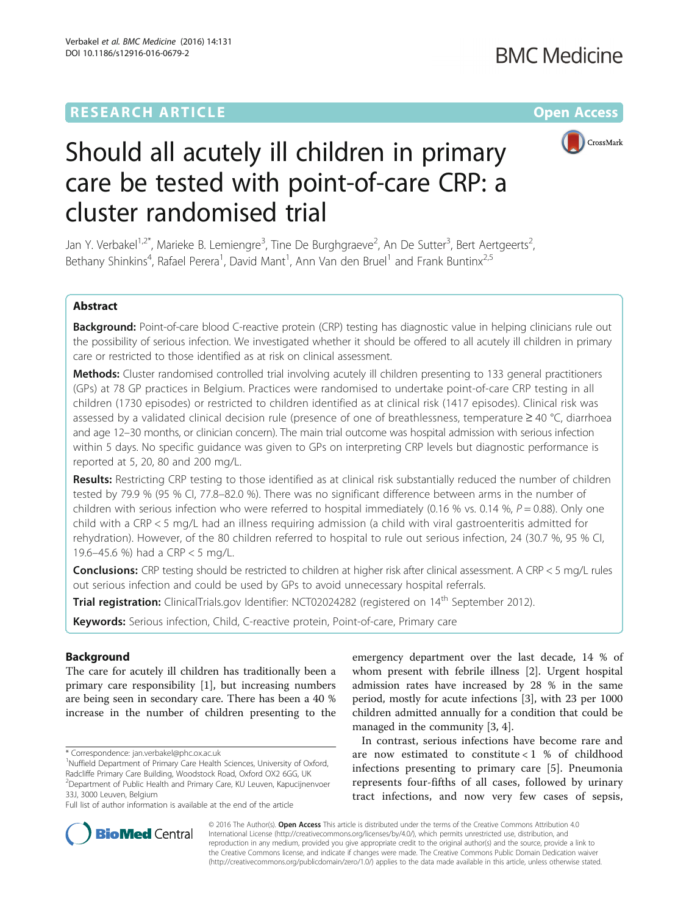## **RESEARCH ARTICLE External Structure Community Community Community Community Community Community Community Community**



# Should all acutely ill children in primary care be tested with point-of-care CRP: a cluster randomised trial

Jan Y. Verbakel<sup>1,2\*</sup>, Marieke B. Lemiengre<sup>3</sup>, Tine De Burghgraeve<sup>2</sup>, An De Sutter<sup>3</sup>, Bert Aertgeerts<sup>2</sup> .<br>, Bethany Shinkins<sup>4</sup>, Rafael Perera<sup>1</sup>, David Mant<sup>1</sup>, Ann Van den Bruel<sup>1</sup> and Frank Buntinx<sup>2,5</sup>

## Abstract

Background: Point-of-care blood C-reactive protein (CRP) testing has diagnostic value in helping clinicians rule out the possibility of serious infection. We investigated whether it should be offered to all acutely ill children in primary care or restricted to those identified as at risk on clinical assessment.

Methods: Cluster randomised controlled trial involving acutely ill children presenting to 133 general practitioners (GPs) at 78 GP practices in Belgium. Practices were randomised to undertake point-of-care CRP testing in all children (1730 episodes) or restricted to children identified as at clinical risk (1417 episodes). Clinical risk was assessed by a validated clinical decision rule (presence of one of breathlessness, temperature ≥ 40 °C, diarrhoea and age 12–30 months, or clinician concern). The main trial outcome was hospital admission with serious infection within 5 days. No specific guidance was given to GPs on interpreting CRP levels but diagnostic performance is reported at 5, 20, 80 and 200 mg/L.

Results: Restricting CRP testing to those identified as at clinical risk substantially reduced the number of children tested by 79.9 % (95 % CI, 77.8–82.0 %). There was no significant difference between arms in the number of children with serious infection who were referred to hospital immediately (0.16 % vs. 0.14 %,  $P = 0.88$ ). Only one child with a CRP < 5 mg/L had an illness requiring admission (a child with viral gastroenteritis admitted for rehydration). However, of the 80 children referred to hospital to rule out serious infection, 24 (30.7 %, 95 % CI, 19.6–45.6 %) had a CRP < 5 mg/L.

**Conclusions:** CRP testing should be restricted to children at higher risk after clinical assessment. A CRP  $<$  5 mg/L rules out serious infection and could be used by GPs to avoid unnecessary hospital referrals.

**Trial registration:** ClinicalTrials.gov Identifier: [NCT02024282](https://clinicaltrials.gov/ct2/show/NCT02024282) (registered on 14<sup>th</sup> September 2012).

Keywords: Serious infection, Child, C-reactive protein, Point-of-care, Primary care

## Background

The care for acutely ill children has traditionally been a primary care responsibility [\[1](#page-6-0)], but increasing numbers are being seen in secondary care. There has been a 40 % increase in the number of children presenting to the

\* Correspondence: [jan.verbakel@phc.ox.ac.uk](mailto:jan.verbakel@phc.ox.ac.uk) <sup>1</sup>

<sup>1</sup>Nuffield Department of Primary Care Health Sciences, University of Oxford, Radcliffe Primary Care Building, Woodstock Road, Oxford OX2 6GG, UK 2 Department of Public Health and Primary Care, KU Leuven, Kapucijnenvoer 33J, 3000 Leuven, Belgium

Full list of author information is available at the end of the article

emergency department over the last decade, 14 % of whom present with febrile illness [\[2](#page-6-0)]. Urgent hospital admission rates have increased by 28 % in the same period, mostly for acute infections [[3\]](#page-6-0), with 23 per 1000 children admitted annually for a condition that could be managed in the community [\[3, 4\]](#page-6-0).

In contrast, serious infections have become rare and are now estimated to constitute < 1 % of childhood infections presenting to primary care [[5](#page-6-0)]. Pneumonia represents four-fifths of all cases, followed by urinary tract infections, and now very few cases of sepsis,



© 2016 The Author(s). Open Access This article is distributed under the terms of the Creative Commons Attribution 4.0 International License [\(http://creativecommons.org/licenses/by/4.0/](http://creativecommons.org/licenses/by/4.0/)), which permits unrestricted use, distribution, and reproduction in any medium, provided you give appropriate credit to the original author(s) and the source, provide a link to the Creative Commons license, and indicate if changes were made. The Creative Commons Public Domain Dedication waiver [\(http://creativecommons.org/publicdomain/zero/1.0/](http://creativecommons.org/publicdomain/zero/1.0/)) applies to the data made available in this article, unless otherwise stated.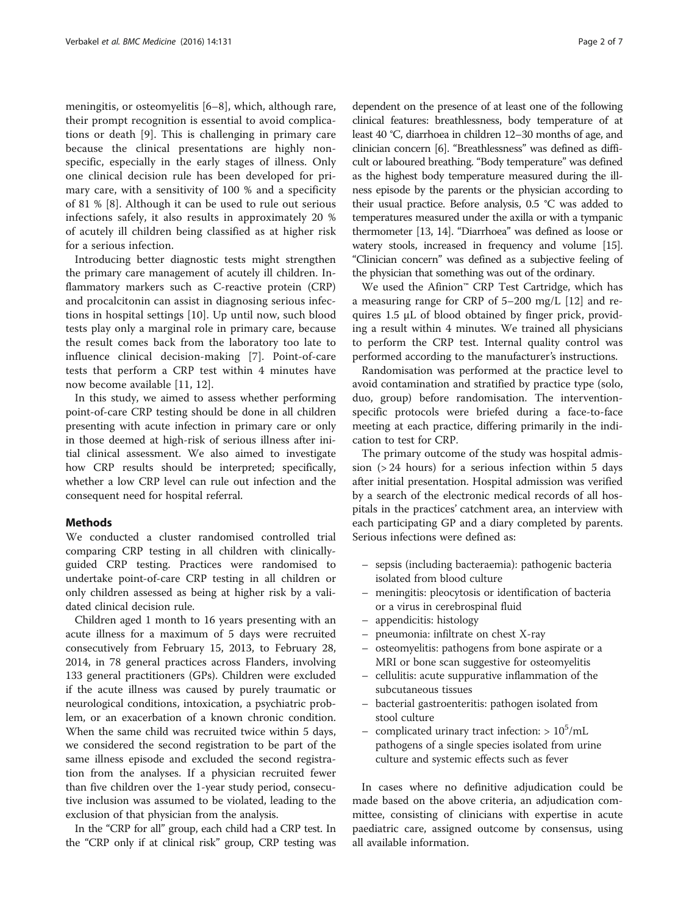meningitis, or osteomyelitis [[6](#page-6-0)–[8](#page-6-0)], which, although rare, their prompt recognition is essential to avoid complications or death [[9\]](#page-6-0). This is challenging in primary care because the clinical presentations are highly nonspecific, especially in the early stages of illness. Only one clinical decision rule has been developed for primary care, with a sensitivity of 100 % and a specificity of 81 % [[8\]](#page-6-0). Although it can be used to rule out serious infections safely, it also results in approximately 20 % of acutely ill children being classified as at higher risk for a serious infection.

Introducing better diagnostic tests might strengthen the primary care management of acutely ill children. Inflammatory markers such as C-reactive protein (CRP) and procalcitonin can assist in diagnosing serious infections in hospital settings [\[10](#page-6-0)]. Up until now, such blood tests play only a marginal role in primary care, because the result comes back from the laboratory too late to influence clinical decision-making [[7](#page-6-0)]. Point-of-care tests that perform a CRP test within 4 minutes have now become available [\[11](#page-6-0), [12](#page-6-0)].

In this study, we aimed to assess whether performing point-of-care CRP testing should be done in all children presenting with acute infection in primary care or only in those deemed at high-risk of serious illness after initial clinical assessment. We also aimed to investigate how CRP results should be interpreted; specifically, whether a low CRP level can rule out infection and the consequent need for hospital referral.

## **Methods**

We conducted a cluster randomised controlled trial comparing CRP testing in all children with clinicallyguided CRP testing. Practices were randomised to undertake point-of-care CRP testing in all children or only children assessed as being at higher risk by a validated clinical decision rule.

Children aged 1 month to 16 years presenting with an acute illness for a maximum of 5 days were recruited consecutively from February 15, 2013, to February 28, 2014, in 78 general practices across Flanders, involving 133 general practitioners (GPs). Children were excluded if the acute illness was caused by purely traumatic or neurological conditions, intoxication, a psychiatric problem, or an exacerbation of a known chronic condition. When the same child was recruited twice within 5 days, we considered the second registration to be part of the same illness episode and excluded the second registration from the analyses. If a physician recruited fewer than five children over the 1-year study period, consecutive inclusion was assumed to be violated, leading to the exclusion of that physician from the analysis.

In the "CRP for all" group, each child had a CRP test. In the "CRP only if at clinical risk" group, CRP testing was

dependent on the presence of at least one of the following clinical features: breathlessness, body temperature of at least 40 °C, diarrhoea in children 12–30 months of age, and clinician concern [[6\]](#page-6-0). "Breathlessness" was defined as difficult or laboured breathing. "Body temperature" was defined as the highest body temperature measured during the illness episode by the parents or the physician according to their usual practice. Before analysis, 0.5 °C was added to temperatures measured under the axilla or with a tympanic thermometer [\[13](#page-6-0), [14](#page-6-0)]. "Diarrhoea" was defined as loose or watery stools, increased in frequency and volume [\[15](#page-6-0)]. "Clinician concern" was defined as a subjective feeling of the physician that something was out of the ordinary.

We used the Afinion™ CRP Test Cartridge, which has a measuring range for CRP of 5–200 mg/L [[12\]](#page-6-0) and requires 1.5 μL of blood obtained by finger prick, providing a result within 4 minutes. We trained all physicians to perform the CRP test. Internal quality control was performed according to the manufacturer's instructions.

Randomisation was performed at the practice level to avoid contamination and stratified by practice type (solo, duo, group) before randomisation. The interventionspecific protocols were briefed during a face-to-face meeting at each practice, differing primarily in the indication to test for CRP.

The primary outcome of the study was hospital admission (> 24 hours) for a serious infection within 5 days after initial presentation. Hospital admission was verified by a search of the electronic medical records of all hospitals in the practices' catchment area, an interview with each participating GP and a diary completed by parents. Serious infections were defined as:

- sepsis (including bacteraemia): pathogenic bacteria isolated from blood culture
- meningitis: pleocytosis or identification of bacteria or a virus in cerebrospinal fluid
- appendicitis: histology
- pneumonia: infiltrate on chest X-ray
- osteomyelitis: pathogens from bone aspirate or a MRI or bone scan suggestive for osteomyelitis
- cellulitis: acute suppurative inflammation of the subcutaneous tissues
- bacterial gastroenteritis: pathogen isolated from stool culture
- complicated urinary tract infection:  $> 10^5$ /mL pathogens of a single species isolated from urine culture and systemic effects such as fever

In cases where no definitive adjudication could be made based on the above criteria, an adjudication committee, consisting of clinicians with expertise in acute paediatric care, assigned outcome by consensus, using all available information.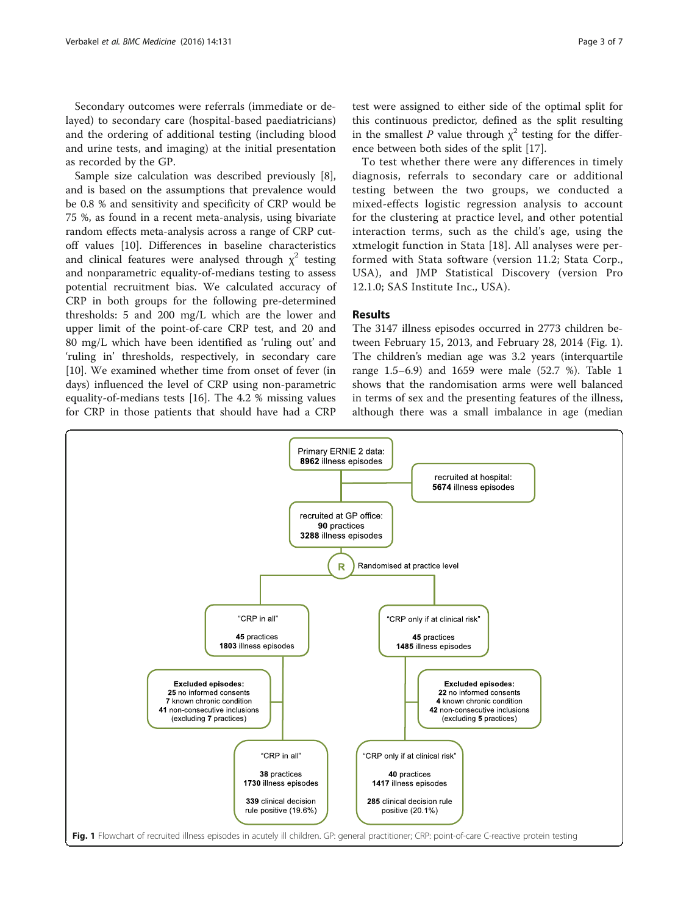Secondary outcomes were referrals (immediate or delayed) to secondary care (hospital-based paediatricians) and the ordering of additional testing (including blood and urine tests, and imaging) at the initial presentation as recorded by the GP.

Sample size calculation was described previously [\[8](#page-6-0)], and is based on the assumptions that prevalence would be 0.8 % and sensitivity and specificity of CRP would be 75 %, as found in a recent meta-analysis, using bivariate random effects meta-analysis across a range of CRP cutoff values [\[10](#page-6-0)]. Differences in baseline characteristics and clinical features were analysed through  $\chi^2$  testing and nonparametric equality-of-medians testing to assess potential recruitment bias. We calculated accuracy of CRP in both groups for the following pre-determined thresholds: 5 and 200 mg/L which are the lower and upper limit of the point-of-care CRP test, and 20 and 80 mg/L which have been identified as 'ruling out' and 'ruling in' thresholds, respectively, in secondary care [[10\]](#page-6-0). We examined whether time from onset of fever (in days) influenced the level of CRP using non-parametric equality-of-medians tests [[16](#page-6-0)]. The 4.2 % missing values for CRP in those patients that should have had a CRP test were assigned to either side of the optimal split for this continuous predictor, defined as the split resulting in the smallest P value through  $\chi^2$  testing for the difference between both sides of the split [\[17](#page-6-0)].

To test whether there were any differences in timely diagnosis, referrals to secondary care or additional testing between the two groups, we conducted a mixed-effects logistic regression analysis to account for the clustering at practice level, and other potential interaction terms, such as the child's age, using the xtmelogit function in Stata [[18](#page-6-0)]. All analyses were performed with Stata software (version 11.2; Stata Corp., USA), and JMP Statistical Discovery (version Pro 12.1.0; SAS Institute Inc., USA).

## Results

The 3147 illness episodes occurred in 2773 children between February 15, 2013, and February 28, 2014 (Fig. 1). The children's median age was 3.2 years (interquartile range 1.5–6.9) and 1659 were male (52.7 %). Table [1](#page-3-0) shows that the randomisation arms were well balanced in terms of sex and the presenting features of the illness, although there was a small imbalance in age (median

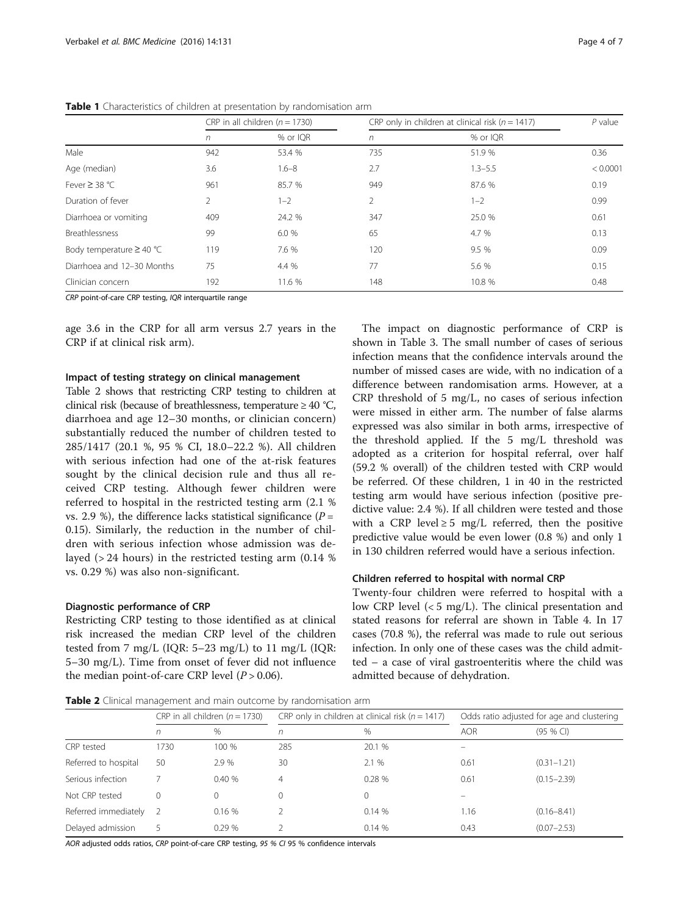|                               | CRP in all children $(n = 1730)$ |           | CRP only in children at clinical risk ( $n = 1417$ ) | $P$ value   |          |
|-------------------------------|----------------------------------|-----------|------------------------------------------------------|-------------|----------|
|                               | n                                | % or IOR  | n                                                    | % or IQR    |          |
| Male                          | 942                              | 53.4 %    | 735                                                  | 51.9%       | 0.36     |
| Age (median)                  | 3.6                              | $1.6 - 8$ | 2.7                                                  | $1.3 - 5.5$ | < 0.0001 |
| Fever $\geq$ 38 °C            | 961                              | 85.7 %    | 949                                                  | 87.6 %      | 0.19     |
| Duration of fever             | $\mathfrak{D}$                   | $1 - 2$   | 2                                                    | $1 - 2$     | 0.99     |
| Diarrhoea or vomiting         | 409                              | 24.2 %    | 347                                                  | 25.0 %      | 0.61     |
| <b>Breathlessness</b>         | 99                               | 6.0%      | 65                                                   | 4.7 %       | 0.13     |
| Body temperature $\geq$ 40 °C | 119                              | 7.6 %     | 120                                                  | 9.5%        | 0.09     |
| Diarrhoea and 12-30 Months    | 75                               | 4.4 %     | 77                                                   | 5.6 %       | 0.15     |
| Clinician concern             | 192                              | 11.6 %    | 148                                                  | 10.8 %      | 0.48     |

<span id="page-3-0"></span>Table 1 Characteristics of children at presentation by randomisation arm

CRP point-of-care CRP testing, IQR interquartile range

age 3.6 in the CRP for all arm versus 2.7 years in the CRP if at clinical risk arm).

#### Impact of testing strategy on clinical management

Table 2 shows that restricting CRP testing to children at clinical risk (because of breathlessness, temperature  $\geq 40$  °C, diarrhoea and age 12–30 months, or clinician concern) substantially reduced the number of children tested to 285/1417 (20.1 %, 95 % CI, 18.0–22.2 %). All children with serious infection had one of the at-risk features sought by the clinical decision rule and thus all received CRP testing. Although fewer children were referred to hospital in the restricted testing arm (2.1 % vs. 2.9 %), the difference lacks statistical significance ( $P =$ 0.15). Similarly, the reduction in the number of children with serious infection whose admission was delayed (> 24 hours) in the restricted testing arm (0.14 % vs. 0.29 %) was also non-significant.

#### Diagnostic performance of CRP

Restricting CRP testing to those identified as at clinical risk increased the median CRP level of the children tested from 7 mg/L (IQR: 5–23 mg/L) to 11 mg/L (IQR: 5–30 mg/L). Time from onset of fever did not influence the median point-of-care CRP level  $(P > 0.06)$ .

The impact on diagnostic performance of CRP is shown in Table [3.](#page-4-0) The small number of cases of serious infection means that the confidence intervals around the number of missed cases are wide, with no indication of a difference between randomisation arms. However, at a CRP threshold of 5 mg/L, no cases of serious infection were missed in either arm. The number of false alarms expressed was also similar in both arms, irrespective of the threshold applied. If the 5 mg/L threshold was adopted as a criterion for hospital referral, over half (59.2 % overall) of the children tested with CRP would be referred. Of these children, 1 in 40 in the restricted testing arm would have serious infection (positive predictive value: 2.4 %). If all children were tested and those with a CRP level  $\geq$  5 mg/L referred, then the positive predictive value would be even lower (0.8 %) and only 1 in 130 children referred would have a serious infection.

#### Children referred to hospital with normal CRP

Twenty-four children were referred to hospital with a low CRP level (< 5 mg/L). The clinical presentation and stated reasons for referral are shown in Table [4](#page-4-0). In 17 cases (70.8 %), the referral was made to rule out serious infection. In only one of these cases was the child admitted – a case of viral gastroenteritis where the child was admitted because of dehydration.

Table 2 Clinical management and main outcome by randomisation arm

|                      | CRP in all children ( $n = 1730$ ) |          | CRP only in children at clinical risk ( $n = 1417$ ) |          | Odds ratio adjusted for age and clustering |                 |
|----------------------|------------------------------------|----------|------------------------------------------------------|----------|--------------------------------------------|-----------------|
|                      | n                                  | %        | n                                                    | $\%$     | <b>AOR</b>                                 | $(95%$ CI)      |
| CRP tested           | 1730                               | 100 %    | 285                                                  | 20.1 %   |                                            |                 |
| Referred to hospital | 50                                 | 2.9 %    | 30                                                   | 2.1%     | 0.61                                       | $(0.31 - 1.21)$ |
| Serious infection    |                                    | 0.40 %   | 4                                                    | 0.28%    | 0.61                                       | $(0.15 - 2.39)$ |
| Not CRP tested       | $\Omega$                           | $\Omega$ |                                                      | $\Omega$ | $\overline{\phantom{0}}$                   |                 |
| Referred immediately | $\overline{z}$                     | 0.16%    |                                                      | 0.14%    | 1.16                                       | $(0.16 - 8.41)$ |
| Delayed admission    |                                    | 0.29%    |                                                      | 0.14%    | 0.43                                       | $(0.07 - 2.53)$ |

AOR adjusted odds ratios, CRP point-of-care CRP testing, 95 % CI 95 % confidence intervals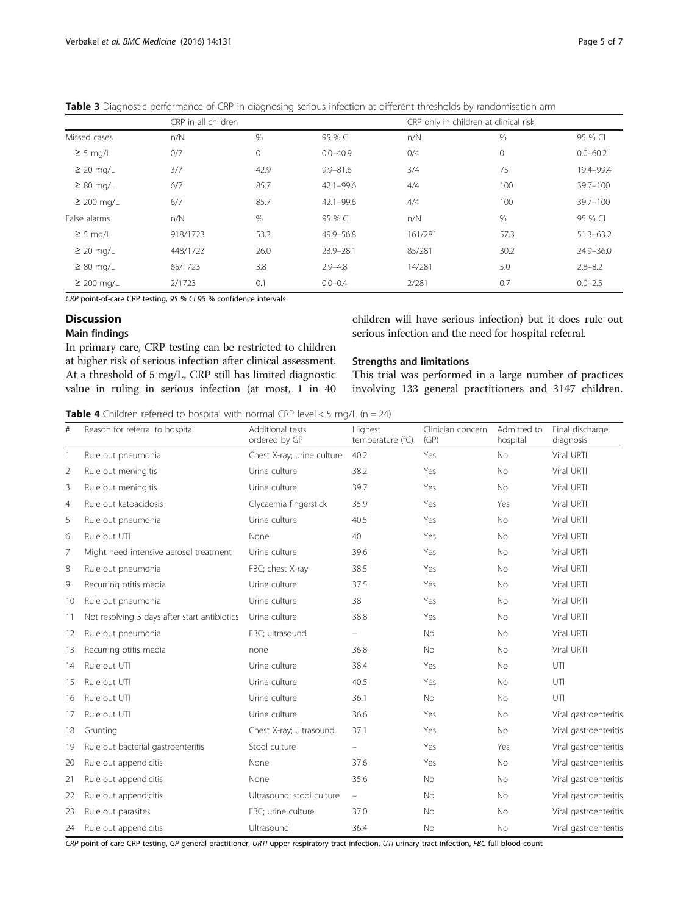|                 | CRP in all children |      |               |         | CRP only in children at clinical risk |               |
|-----------------|---------------------|------|---------------|---------|---------------------------------------|---------------|
| Missed cases    | n/N                 | %    | 95 % CI       | n/N     | $\%$                                  | 95 % CI       |
| $\geq$ 5 mg/L   | 0/7                 | 0    | $0.0 - 40.9$  | 0/4     | 0                                     | $0.0 - 60.2$  |
| $\geq$ 20 mg/L  | 3/7                 | 42.9 | $9.9 - 81.6$  | 3/4     | 75                                    | 19.4-99.4     |
| $\geq 80$ mg/L  | 6/7                 | 85.7 | $42.1 - 99.6$ | 4/4     | 100                                   | $39.7 - 100$  |
| $\geq$ 200 mg/L | 6/7                 | 85.7 | $42.1 - 99.6$ | 4/4     | 100                                   | $39.7 - 100$  |
| False alarms    | n/N                 | $\%$ | 95 % CI       | n/N     | %                                     | 95 % CI       |
| $\geq$ 5 mg/L   | 918/1723            | 53.3 | 49.9-56.8     | 161/281 | 57.3                                  | $51.3 - 63.2$ |
| $\geq$ 20 mg/L  | 448/1723            | 26.0 | $23.9 - 28.1$ | 85/281  | 30.2                                  | 24.9-36.0     |
| $\geq 80$ mg/L  | 65/1723             | 3.8  | $2.9 - 4.8$   | 14/281  | 5.0                                   | $2.8 - 8.2$   |
| $\geq$ 200 mg/L | 2/1723              | 0.1  | $0.0 - 0.4$   | 2/281   | 0.7                                   | $0.0 - 2.5$   |

<span id="page-4-0"></span>Table 3 Diagnostic performance of CRP in diagnosing serious infection at different thresholds by randomisation arm

CRP point-of-care CRP testing, 95 % CI 95 % confidence intervals

### **Discussion**

## Main findings

In primary care, CRP testing can be restricted to children at higher risk of serious infection after clinical assessment. At a threshold of 5 mg/L, CRP still has limited diagnostic value in ruling in serious infection (at most, 1 in 40 children will have serious infection) but it does rule out serious infection and the need for hospital referral.

#### Strengths and limitations

This trial was performed in a large number of practices involving 133 general practitioners and 3147 children.

**Table 4** Children referred to hospital with normal CRP level  $<$  5 mg/L (n = 24)

| $\#$           | Reason for referral to hospital              | Additional tests<br>ordered by GP | Highest<br>temperature (°C) | Clinician concern<br>(GP) | Admitted to<br>hospital | Final discharge<br>diagnosis |
|----------------|----------------------------------------------|-----------------------------------|-----------------------------|---------------------------|-------------------------|------------------------------|
| 1              | Rule out pneumonia                           | Chest X-ray; urine culture        | 40.2                        | Yes                       | <b>No</b>               | Viral URTI                   |
| $\overline{2}$ | Rule out meningitis                          | Urine culture                     | 38.2                        | Yes                       | <b>No</b>               | Viral URTI                   |
| 3              | Rule out meningitis                          | Urine culture                     | 39.7                        | Yes                       | <b>No</b>               | Viral URTI                   |
| 4              | Rule out ketoacidosis                        | Glycaemia fingerstick             | 35.9                        | Yes                       | Yes                     | Viral URTI                   |
| 5              | Rule out pneumonia                           | Urine culture                     | 40.5                        | Yes                       | <b>No</b>               | Viral URTI                   |
| 6              | Rule out UTI                                 | None                              | 40                          | Yes                       | <b>No</b>               | Viral URTI                   |
| 7              | Might need intensive aerosol treatment       | Urine culture                     | 39.6                        | Yes                       | <b>No</b>               | Viral URTI                   |
| 8              | Rule out pneumonia                           | FBC; chest X-ray                  | 38.5                        | Yes                       | <b>No</b>               | Viral URTI                   |
| 9              | Recurring otitis media                       | Urine culture                     | 37.5                        | Yes                       | <b>No</b>               | Viral URTI                   |
| 10             | Rule out pneumonia                           | Urine culture                     | 38                          | Yes                       | <b>No</b>               | Viral URTI                   |
| 11             | Not resolving 3 days after start antibiotics | Urine culture                     | 38.8                        | Yes                       | <b>No</b>               | Viral URTI                   |
| 12             | Rule out pneumonia                           | FBC; ultrasound                   | $\overline{\phantom{m}}$    | <b>No</b>                 | <b>No</b>               | Viral URTI                   |
| 13             | Recurring otitis media                       | none                              | 36.8                        | <b>No</b>                 | <b>No</b>               | Viral URTI                   |
| 14             | Rule out UTI                                 | Urine culture                     | 38.4                        | Yes                       | <b>No</b>               | UTI                          |
| 15             | Rule out UTI                                 | Urine culture                     | 40.5                        | Yes                       | <b>No</b>               | UTI                          |
| 16             | Rule out UTI                                 | Urine culture                     | 36.1                        | <b>No</b>                 | <b>No</b>               | UTI                          |
| 17             | Rule out UTI                                 | Urine culture                     | 36.6                        | Yes                       | <b>No</b>               | Viral gastroenteritis        |
| 18             | Grunting                                     | Chest X-ray; ultrasound           | 37.1                        | Yes                       | <b>No</b>               | Viral gastroenteritis        |
| 19             | Rule out bacterial gastroenteritis           | Stool culture                     |                             | Yes                       | Yes                     | Viral gastroenteritis        |
| 20             | Rule out appendicitis                        | None                              | 37.6                        | Yes                       | <b>No</b>               | Viral gastroenteritis        |
| 21             | Rule out appendicitis                        | None                              | 35.6                        | <b>No</b>                 | <b>No</b>               | Viral gastroenteritis        |
| 22             | Rule out appendicitis                        | Ultrasound; stool culture         | $\overline{\phantom{m}}$    | <b>No</b>                 | <b>No</b>               | Viral gastroenteritis        |
| 23             | Rule out parasites                           | FBC; urine culture                | 37.0                        | <b>No</b>                 | <b>No</b>               | Viral gastroenteritis        |
| 24             | Rule out appendicitis                        | Ultrasound                        | 36.4                        | No                        | <b>No</b>               | Viral gastroenteritis        |

CRP point-of-care CRP testing, GP general practitioner, URTI upper respiratory tract infection, UTI urinary tract infection, FBC full blood count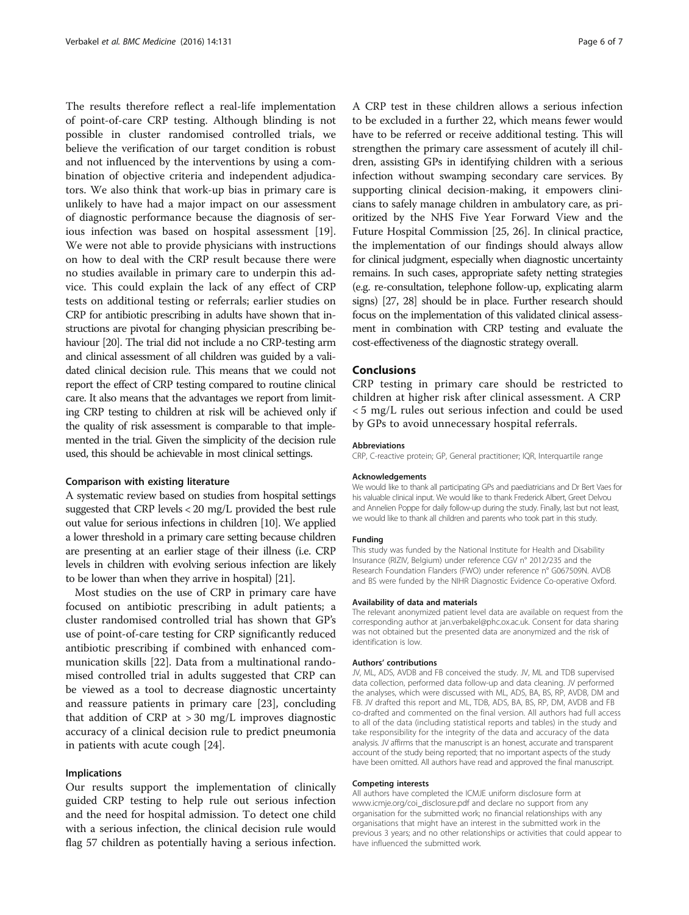The results therefore reflect a real-life implementation of point-of-care CRP testing. Although blinding is not possible in cluster randomised controlled trials, we believe the verification of our target condition is robust and not influenced by the interventions by using a combination of objective criteria and independent adjudicators. We also think that work-up bias in primary care is unlikely to have had a major impact on our assessment of diagnostic performance because the diagnosis of serious infection was based on hospital assessment [\[19](#page-6-0)]. We were not able to provide physicians with instructions on how to deal with the CRP result because there were no studies available in primary care to underpin this advice. This could explain the lack of any effect of CRP tests on additional testing or referrals; earlier studies on CRP for antibiotic prescribing in adults have shown that instructions are pivotal for changing physician prescribing behaviour [\[20\]](#page-6-0). The trial did not include a no CRP-testing arm and clinical assessment of all children was guided by a validated clinical decision rule. This means that we could not report the effect of CRP testing compared to routine clinical care. It also means that the advantages we report from limiting CRP testing to children at risk will be achieved only if the quality of risk assessment is comparable to that implemented in the trial. Given the simplicity of the decision rule used, this should be achievable in most clinical settings.

#### Comparison with existing literature

A systematic review based on studies from hospital settings suggested that CRP levels < 20 mg/L provided the best rule out value for serious infections in children [\[10\]](#page-6-0). We applied a lower threshold in a primary care setting because children are presenting at an earlier stage of their illness (i.e. CRP levels in children with evolving serious infection are likely to be lower than when they arrive in hospital) [[21](#page-6-0)].

Most studies on the use of CRP in primary care have focused on antibiotic prescribing in adult patients; a cluster randomised controlled trial has shown that GP's use of point-of-care testing for CRP significantly reduced antibiotic prescribing if combined with enhanced communication skills [\[22](#page-6-0)]. Data from a multinational randomised controlled trial in adults suggested that CRP can be viewed as a tool to decrease diagnostic uncertainty and reassure patients in primary care [[23](#page-6-0)], concluding that addition of CRP at > 30 mg/L improves diagnostic accuracy of a clinical decision rule to predict pneumonia in patients with acute cough [\[24](#page-6-0)].

#### Implications

Our results support the implementation of clinically guided CRP testing to help rule out serious infection and the need for hospital admission. To detect one child with a serious infection, the clinical decision rule would flag 57 children as potentially having a serious infection.

A CRP test in these children allows a serious infection to be excluded in a further 22, which means fewer would have to be referred or receive additional testing. This will strengthen the primary care assessment of acutely ill children, assisting GPs in identifying children with a serious infection without swamping secondary care services. By supporting clinical decision-making, it empowers clinicians to safely manage children in ambulatory care, as prioritized by the NHS Five Year Forward View and the Future Hospital Commission [\[25](#page-6-0), [26](#page-6-0)]. In clinical practice, the implementation of our findings should always allow for clinical judgment, especially when diagnostic uncertainty remains. In such cases, appropriate safety netting strategies (e.g. re-consultation, telephone follow-up, explicating alarm signs) [\[27, 28\]](#page-6-0) should be in place. Further research should focus on the implementation of this validated clinical assessment in combination with CRP testing and evaluate the cost-effectiveness of the diagnostic strategy overall.

#### Conclusions

CRP testing in primary care should be restricted to children at higher risk after clinical assessment. A CRP < 5 mg/L rules out serious infection and could be used by GPs to avoid unnecessary hospital referrals.

#### Abbreviations

CRP, C-reactive protein; GP, General practitioner; IQR, Interquartile range

#### Acknowledgements

We would like to thank all participating GPs and paediatricians and Dr Bert Vaes for his valuable clinical input. We would like to thank Frederick Albert, Greet Delvou and Annelien Poppe for daily follow-up during the study. Finally, last but not least, we would like to thank all children and parents who took part in this study.

#### Funding

This study was funded by the National Institute for Health and Disability Insurance (RIZIV, Belgium) under reference CGV n° 2012/235 and the Research Foundation Flanders (FWO) under reference n° G067509N. AVDB and BS were funded by the NIHR Diagnostic Evidence Co-operative Oxford.

#### Availability of data and materials

The relevant anonymized patient level data are available on request from the corresponding author at jan.verbakel@phc.ox.ac.uk. Consent for data sharing was not obtained but the presented data are anonymized and the risk of identification is low.

#### Authors' contributions

JV, ML, ADS, AVDB and FB conceived the study. JV, ML and TDB supervised data collection, performed data follow-up and data cleaning. JV performed the analyses, which were discussed with ML, ADS, BA, BS, RP, AVDB, DM and FB. JV drafted this report and ML, TDB, ADS, BA, BS, RP, DM, AVDB and FB co-drafted and commented on the final version. All authors had full access to all of the data (including statistical reports and tables) in the study and take responsibility for the integrity of the data and accuracy of the data analysis. JV affirms that the manuscript is an honest, accurate and transparent account of the study being reported; that no important aspects of the study have been omitted. All authors have read and approved the final manuscript.

#### Competing interests

All authors have completed the ICMJE uniform disclosure form at [www.icmje.org/coi\\_disclosure.pdf](http://www.icmje.org/coi_disclosure.pdf) and declare no support from any organisation for the submitted work; no financial relationships with any organisations that might have an interest in the submitted work in the previous 3 years; and no other relationships or activities that could appear to have influenced the submitted work.